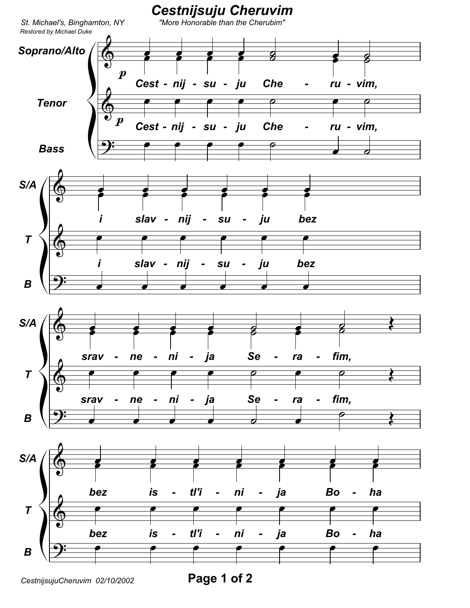